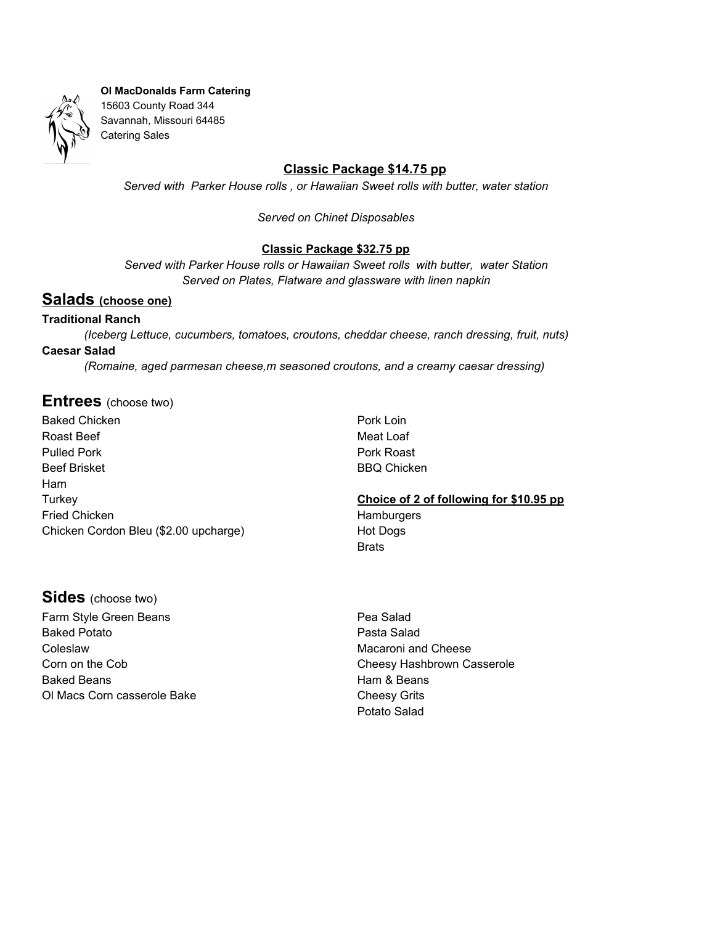

## **Classic Package \$14.75 pp**

*Served with Parker House rolls , or Hawaiian Sweet rolls with butter, water station*

*Served on Chinet Disposables*

### **Classic Package \$32.75 pp**

*Served with Parker House rolls or Hawaiian Sweet rolls with butter, water Station Served on Plates, Flatware and glassware with linen napkin*

# **Salads (choose one)**

#### **Traditional Ranch**

*(Iceberg Lettuce, cucumbers, tomatoes, croutons, cheddar cheese, ranch dressing, fruit, nuts)* **Caesar Salad** *(Romaine, aged parmesan cheese,m seasoned croutons, and a creamy caesar dressing)*

### **Entrees** (choose two)

Baked Chicken Roast Beef Pulled Pork Beef Brisket Ham **Turkey** Fried Chicken Chicken Cordon Bleu (\$2.00 upcharge) Pork Loin Meat Loaf Pork Roast BBQ Chicken

**Choice of 2 of following for \$10.95 pp Hamburgers** Hot Dogs **Brats** 

# **Sides** (choose two)

Farm Style Green Beans Baked Potato Coleslaw Corn on the Cob Baked Beans Ol Macs Corn casserole Bake Pea Salad Pasta Salad Macaroni and Cheese Cheesy Hashbrown Casserole Ham & Beans Cheesy Grits Potato Salad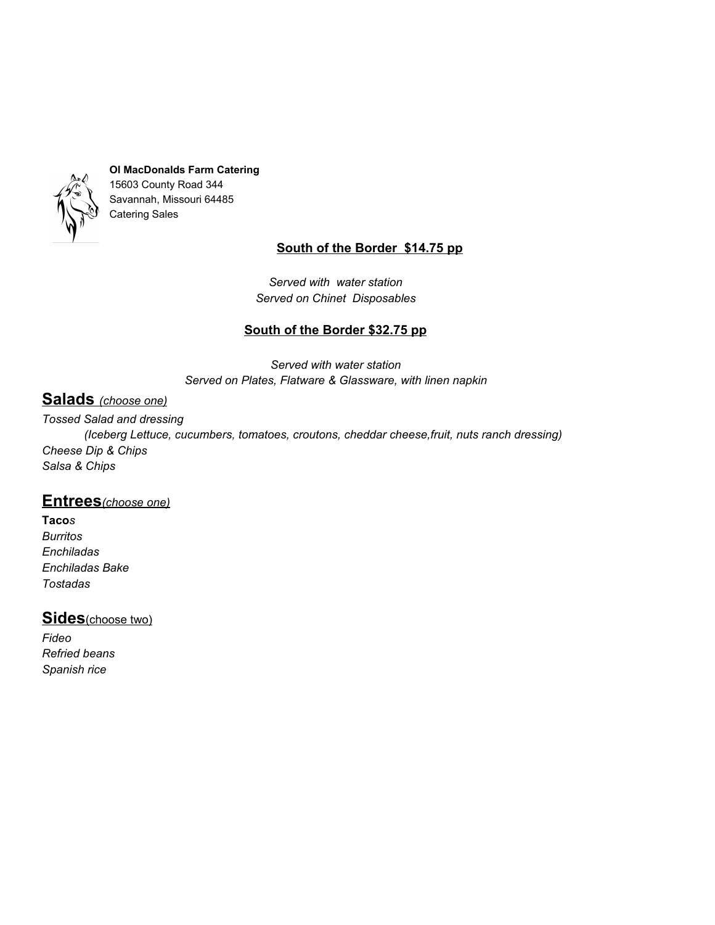

# **South of the Border \$14.75 pp**

*Served with water station Served on Chinet Disposables*

# **South of the Border \$32.75 pp**

*Served with water station Served on Plates, Flatware & Glassware, with linen napkin*

# **Salads** *(choose one)*

*Tossed Salad and dressing*

*(Iceberg Lettuce, cucumbers, tomatoes, croutons, cheddar cheese,fruit, nuts ranch dressing) Cheese Dip & Chips Salsa & Chips*

# **Entrees***(choose one)*

**Taco***s Burritos Enchiladas Enchiladas Bake Tostadas*

# **Sides**(choose two)

*Fideo Refried beans Spanish rice*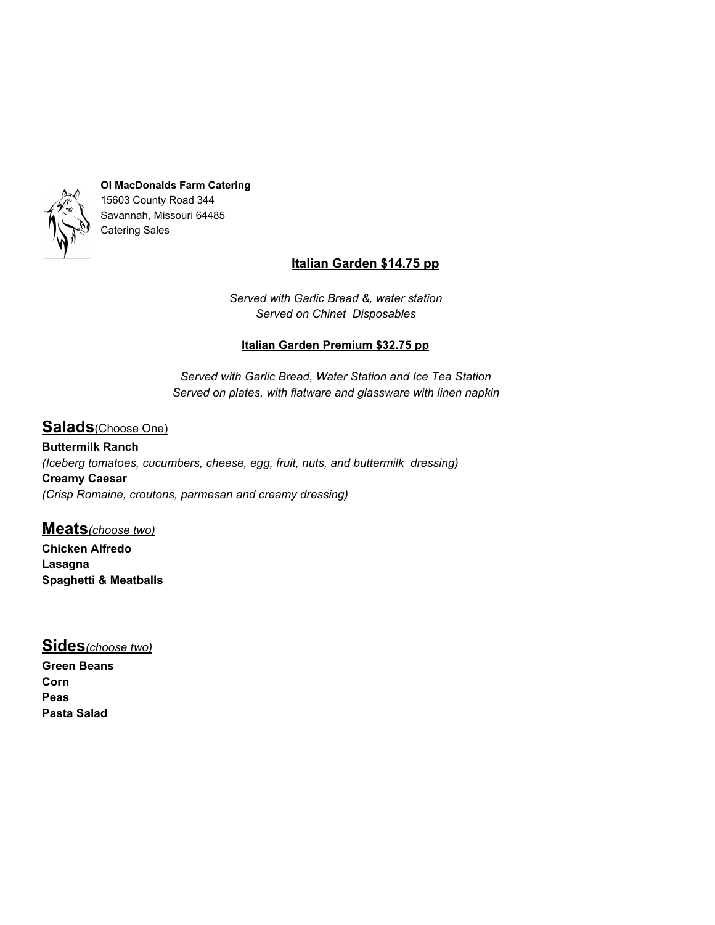

# **Italian Garden \$14.75 pp**

*Served with Garlic Bread &, water station Served on Chinet Disposables*

## **Italian Garden Premium \$32.75 pp**

*Served with Garlic Bread, Water Station and Ice Tea Station Served on plates, with flatware and glassware with linen napkin*

# **Salads**(Choose One)

**Buttermilk Ranch** *(Iceberg tomatoes, cucumbers, cheese, egg, fruit, nuts, and buttermilk dressing)* **Creamy Caesar** *(Crisp Romaine, croutons, parmesan and creamy dressing)*

**Meats***(choose two)* **Chicken Alfredo Lasagna Spaghetti & Meatballs**

# **Sides***(choose two)*

**Green Beans Corn Peas Pasta Salad**